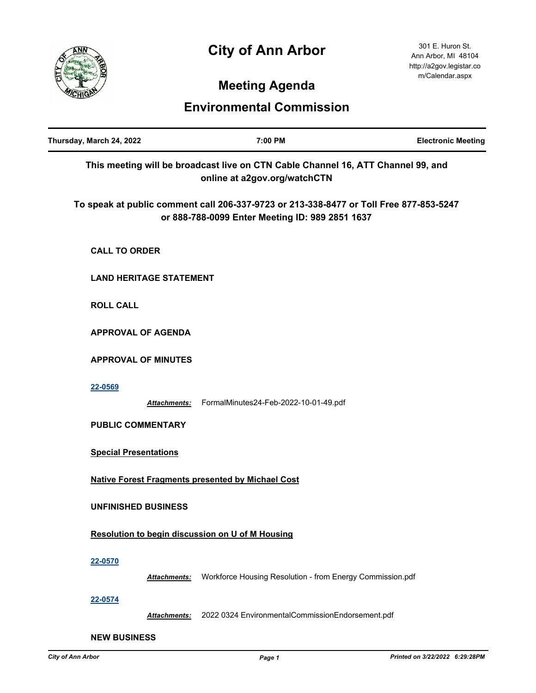# **City of Ann Arbor**



301 E. Huron St. Ann Arbor, MI 48104 http://a2gov.legistar.co m/Calendar.aspx

## **Meeting Agenda**

### **Environmental Commission**

| Thursday, March 24, 2022                                                                                                                  | 7:00 PM                                                   | <b>Electronic Meeting</b> |
|-------------------------------------------------------------------------------------------------------------------------------------------|-----------------------------------------------------------|---------------------------|
| This meeting will be broadcast live on CTN Cable Channel 16, ATT Channel 99, and<br>online at a2gov.org/watchCTN                          |                                                           |                           |
| To speak at public comment call 206-337-9723 or 213-338-8477 or Toll Free 877-853-5247<br>or 888-788-0099 Enter Meeting ID: 989 2851 1637 |                                                           |                           |
| <b>CALL TO ORDER</b>                                                                                                                      |                                                           |                           |
| <b>LAND HERITAGE STATEMENT</b>                                                                                                            |                                                           |                           |
| <b>ROLL CALL</b>                                                                                                                          |                                                           |                           |
| <b>APPROVAL OF AGENDA</b>                                                                                                                 |                                                           |                           |
| <b>APPROVAL OF MINUTES</b>                                                                                                                |                                                           |                           |
| 22-0569<br><b>Attachments:</b>                                                                                                            | FormalMinutes24-Feb-2022-10-01-49.pdf                     |                           |
| <b>PUBLIC COMMENTARY</b>                                                                                                                  |                                                           |                           |
| <b>Special Presentations</b>                                                                                                              |                                                           |                           |
| <b>Native Forest Fragments presented by Michael Cost</b>                                                                                  |                                                           |                           |
| <b>UNFINISHED BUSINESS</b>                                                                                                                |                                                           |                           |
| Resolution to begin discussion on U of M Housing                                                                                          |                                                           |                           |
| 22-0570<br>Attachments:                                                                                                                   | Workforce Housing Resolution - from Energy Commission.pdf |                           |
| 22-0574<br><b>Attachments:</b>                                                                                                            | 2022 0324 EnvironmentalCommissionEndorsement.pdf          |                           |
| <b>NEW BUSINESS</b>                                                                                                                       |                                                           |                           |